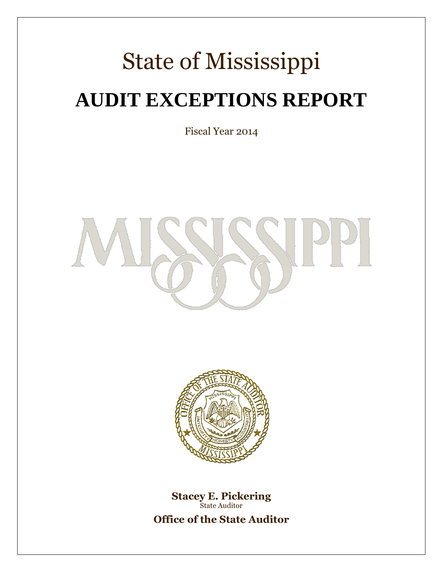# State of Mississippi **AUDIT EXCEPTIONS REPORT**

Fiscal Year 2014





**Stacey E. Pickering** State Auditor

**Office of the State Auditor**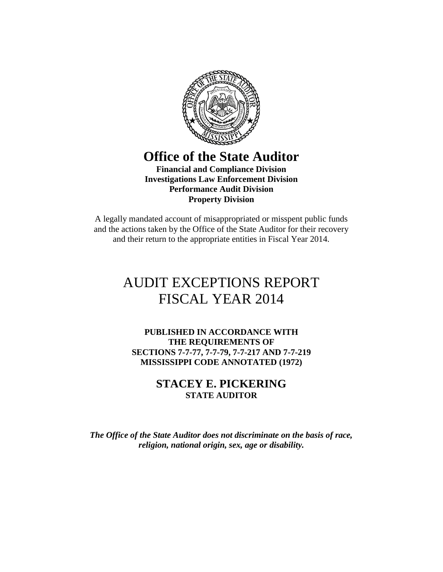

## **Office of the State Auditor Financial and Compliance Division Investigations Law Enforcement Division Performance Audit Division Property Division**

A legally mandated account of misappropriated or misspent public funds and the actions taken by the Office of the State Auditor for their recovery and their return to the appropriate entities in Fiscal Year 2014.

## AUDIT EXCEPTIONS REPORT FISCAL YEAR 2014

**PUBLISHED IN ACCORDANCE WITH THE REQUIREMENTS OF SECTIONS 7-7-77, 7-7-79, 7-7-217 AND 7-7-219 MISSISSIPPI CODE ANNOTATED (1972)**

> **STACEY E. PICKERING STATE AUDITOR**

*The Office of the State Auditor does not discriminate on the basis of race, religion, national origin, sex, age or disability.*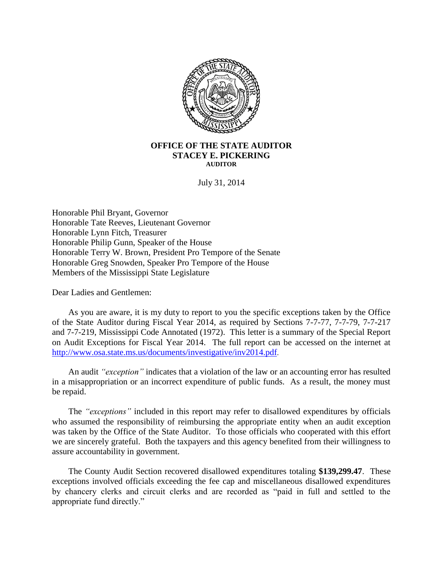

### **OFFICE OF THE STATE AUDITOR STACEY E. PICKERING AUDITOR**

July 31, 2014

Honorable Phil Bryant, Governor Honorable Tate Reeves, Lieutenant Governor Honorable Lynn Fitch, Treasurer Honorable Philip Gunn, Speaker of the House Honorable Terry W. Brown, President Pro Tempore of the Senate Honorable Greg Snowden, Speaker Pro Tempore of the House Members of the Mississippi State Legislature

Dear Ladies and Gentlemen:

As you are aware, it is my duty to report to you the specific exceptions taken by the Office of the State Auditor during Fiscal Year 2014, as required by Sections 7-7-77, 7-7-79, 7-7-217 and 7-7-219, Mississippi Code Annotated (1972). This letter is a summary of the Special Report on Audit Exceptions for Fiscal Year 2014. The full report can be accessed on the internet at <http://www.osa.state.ms.us/documents/investigative/inv2014.pdf>.

An audit *"exception"* indicates that a violation of the law or an accounting error has resulted in a misappropriation or an incorrect expenditure of public funds. As a result, the money must be repaid.

The *"exceptions"* included in this report may refer to disallowed expenditures by officials who assumed the responsibility of reimbursing the appropriate entity when an audit exception was taken by the Office of the State Auditor. To those officials who cooperated with this effort we are sincerely grateful. Both the taxpayers and this agency benefited from their willingness to assure accountability in government.

The County Audit Section recovered disallowed expenditures totaling **\$139,299.47**. These exceptions involved officials exceeding the fee cap and miscellaneous disallowed expenditures by chancery clerks and circuit clerks and are recorded as "paid in full and settled to the appropriate fund directly."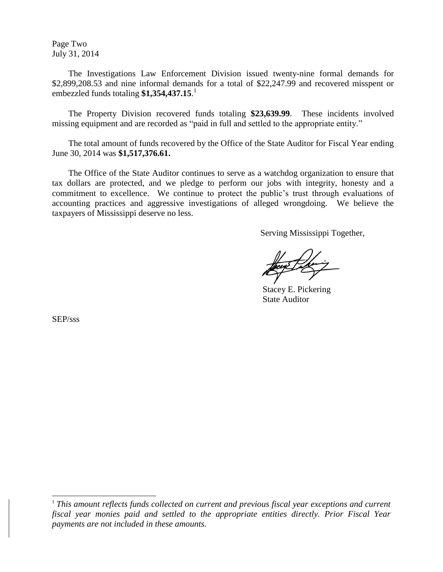Page Two July 31, 2014

The Investigations Law Enforcement Division issued twenty-nine formal demands for \$2,899,208.53 and nine informal demands for a total of \$22,247.99 and recovered misspent or embezzled funds totaling **\$1,354,437.15**. 1

The Property Division recovered funds totaling **\$23,639.99**. These incidents involved missing equipment and are recorded as "paid in full and settled to the appropriate entity."

The total amount of funds recovered by the Office of the State Auditor for Fiscal Year ending June 30, 2014 was **\$1,517,376.61.**

The Office of the State Auditor continues to serve as a watchdog organization to ensure that tax dollars are protected, and we pledge to perform our jobs with integrity, honesty and a commitment to excellence. We continue to protect the public's trust through evaluations of accounting practices and aggressive investigations of alleged wrongdoing. We believe the taxpayers of Mississippi deserve no less.

Serving Mississippi Together,

 Stacey E. Pickering State Auditor

SEP/sss

 $\overline{a}$ 

<sup>1</sup> *This amount reflects funds collected on current and previous fiscal year exceptions and current fiscal year monies paid and settled to the appropriate entities directly. Prior Fiscal Year payments are not included in these amounts.*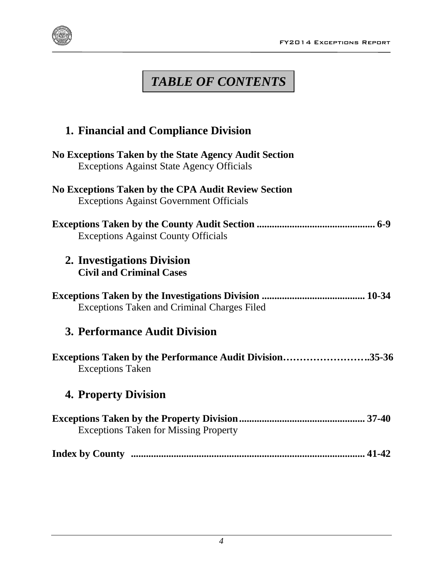

## *TABLE OF CONTENTS*

| 1. Financial and Compliance Division                                                                      |
|-----------------------------------------------------------------------------------------------------------|
| No Exceptions Taken by the State Agency Audit Section<br><b>Exceptions Against State Agency Officials</b> |
| No Exceptions Taken by the CPA Audit Review Section<br><b>Exceptions Against Government Officials</b>     |
| <b>Exceptions Against County Officials</b>                                                                |
| 2. Investigations Division<br><b>Civil and Criminal Cases</b>                                             |
| <b>Exceptions Taken and Criminal Charges Filed</b>                                                        |
| <b>3. Performance Audit Division</b>                                                                      |
| Exceptions Taken by the Performance Audit Division35-36<br><b>Exceptions Taken</b>                        |
| <b>4. Property Division</b>                                                                               |
| <b>Exceptions Taken for Missing Property</b>                                                              |
|                                                                                                           |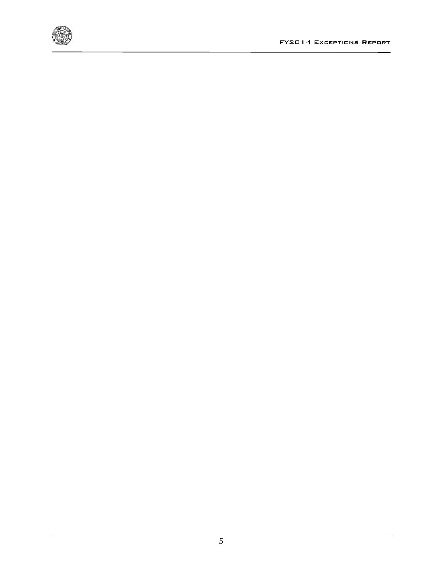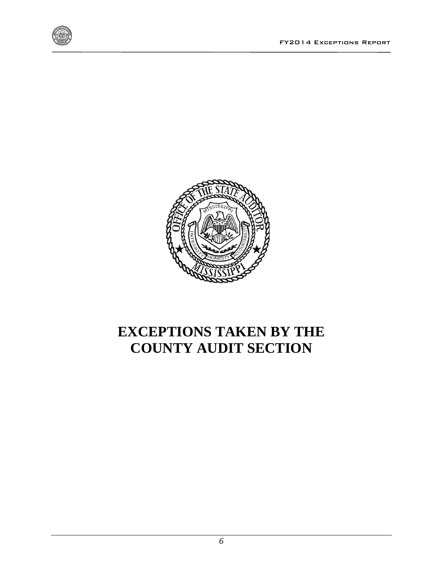



## **EXCEPTIONS TAKEN BY THE COUNTY AUDIT SECTION**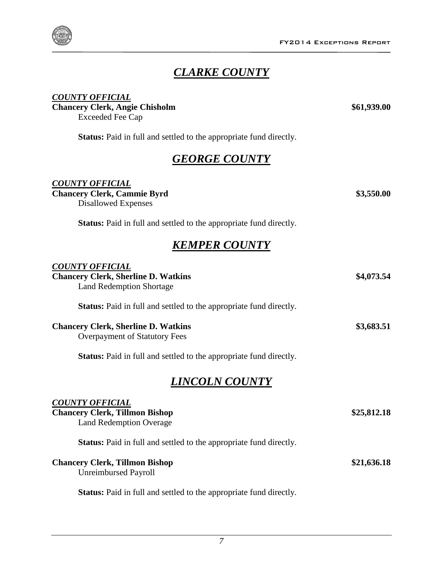

## *CLARKE COUNTY*

## *COUNTY OFFICIAL*

**Chancery Clerk, Angie Chisholm \$61,939.00** Exceeded Fee Cap

Status: Paid in full and settled to the appropriate fund directly.

## *GEORGE COUNTY*

### *COUNTY OFFICIAL* **Chancery Clerk, Cammie Byrd \$3,550.00** Disallowed Expenses

Status: Paid in full and settled to the appropriate fund directly.

## *KEMPER COUNTY*

| <b>COUNTY OFFICIAL</b><br><b>Chancery Clerk, Sherline D. Watkins</b><br><b>Land Redemption Shortage</b> | \$4,073.54  |
|---------------------------------------------------------------------------------------------------------|-------------|
| <b>Status:</b> Paid in full and settled to the appropriate fund directly.                               |             |
| <b>Chancery Clerk, Sherline D. Watkins</b><br>Overpayment of Statutory Fees                             | \$3,683.51  |
| <b>Status:</b> Paid in full and settled to the appropriate fund directly.                               |             |
| <i><b>LINCOLN COUNTY</b></i>                                                                            |             |
| <b>COUNTY OFFICIAL</b>                                                                                  |             |
| <b>Chancery Clerk, Tillmon Bishop</b><br><b>Land Redemption Overage</b>                                 | \$25,812.18 |
| <b>Status:</b> Paid in full and settled to the appropriate fund directly.                               |             |
| <b>Chancery Clerk, Tillmon Bishop</b><br>Unreimbursed Payroll                                           | \$21,636.18 |
| <b>Status:</b> Paid in full and settled to the appropriate fund directly.                               |             |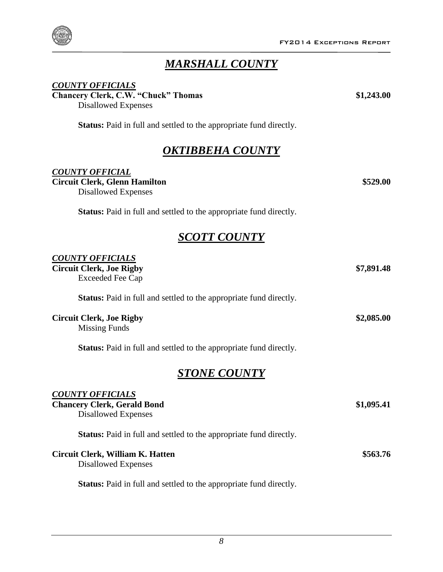

## *MARSHALL COUNTY*

## *COUNTY OFFICIALS*

**Chancery Clerk, C.W. "Chuck" Thomas \$1,243.00** Disallowed Expenses

**Status:** Paid in full and settled to the appropriate fund directly.

## *OKTIBBEHA COUNTY*

## *COUNTY OFFICIAL*

**Circuit Clerk, Glenn Hamilton \$529.00** Disallowed Expenses

Status: Paid in full and settled to the appropriate fund directly.

## *SCOTT COUNTY*

| <b>COUNTY OFFICIALS</b><br><b>Circuit Clerk, Joe Rigby</b><br><b>Exceeded Fee Cap</b> | \$7,891.48 |  |
|---------------------------------------------------------------------------------------|------------|--|
| <b>Status:</b> Paid in full and settled to the appropriate fund directly.             |            |  |
| <b>Circuit Clerk, Joe Rigby</b><br><b>Missing Funds</b>                               | \$2,085.00 |  |
| <b>Status:</b> Paid in full and settled to the appropriate fund directly.             |            |  |
| <i>STONE COUNTY</i>                                                                   |            |  |
| <b>COUNTY OFFICIALS</b><br><b>Chancery Clerk, Gerald Bond</b><br>Disallowed Expenses  | \$1,095.41 |  |
| <b>Status:</b> Paid in full and settled to the appropriate fund directly.             |            |  |
| Circuit Clerk, William K. Hatten<br>Disallowed Expenses                               | \$563.76   |  |
| <b>Status:</b> Paid in full and settled to the appropriate fund directly.             |            |  |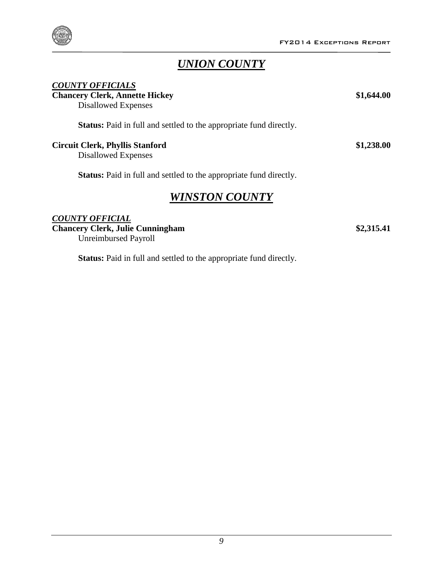

## *UNION COUNTY*

| <b>COUNTY OFFICIALS</b>                                                   |            |
|---------------------------------------------------------------------------|------------|
| <b>Chancery Clerk, Annette Hickey</b>                                     | \$1,644.00 |
| Disallowed Expenses                                                       |            |
| <b>Status:</b> Paid in full and settled to the appropriate fund directly. |            |
| <b>Circuit Clerk, Phyllis Stanford</b>                                    | \$1,238.00 |
| Disallowed Expenses                                                       |            |
| <b>Status:</b> Paid in full and settled to the appropriate fund directly. |            |
| <i>WINSTON COUNTY</i>                                                     |            |
| <b>COUNTY OFFICIAL</b>                                                    |            |
| <b>Chancery Clerk, Julie Cunningham</b>                                   | \$2,315.41 |

Unreimbursed Payroll

Status: Paid in full and settled to the appropriate fund directly.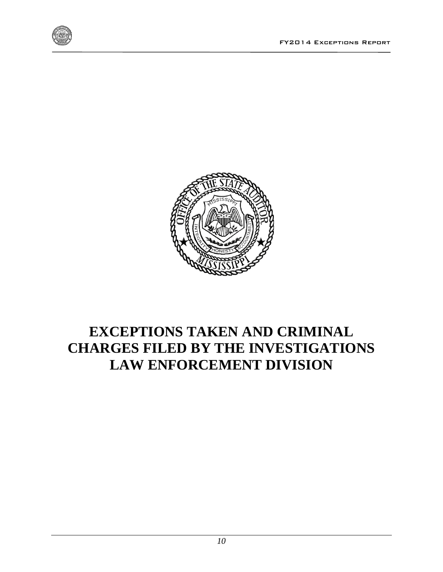



## **EXCEPTIONS TAKEN AND CRIMINAL CHARGES FILED BY THE INVESTIGATIONS LAW ENFORCEMENT DIVISION**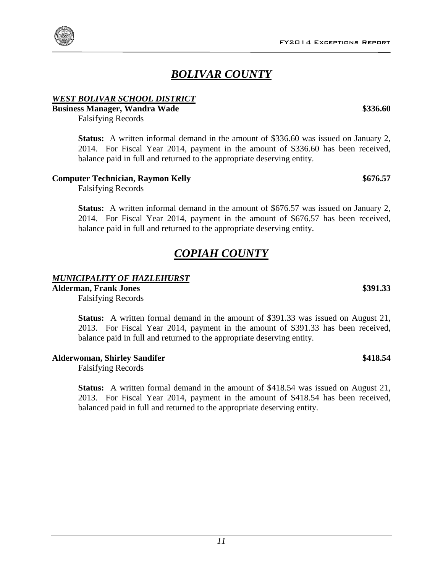## *BOLIVAR COUNTY*

## *WEST BOLIVAR SCHOOL DISTRICT*

**Business Manager, Wandra Wade \$336.60**

Falsifying Records

**Status:** A written informal demand in the amount of \$336.60 was issued on January 2, 2014. For Fiscal Year 2014, payment in the amount of \$336.60 has been received, balance paid in full and returned to the appropriate deserving entity.

## **Computer Technician, Raymon Kelly 6676.57**

Falsifying Records

**Status:** A written informal demand in the amount of \$676.57 was issued on January 2, 2014. For Fiscal Year 2014, payment in the amount of \$676.57 has been received, balance paid in full and returned to the appropriate deserving entity.

## *COPIAH COUNTY*

## *MUNICIPALITY OF HAZLEHURST*

**Alderman, Frank Jones \$391.33**

Falsifying Records

**Status:** A written formal demand in the amount of \$391.33 was issued on August 21, 2013. For Fiscal Year 2014, payment in the amount of \$391.33 has been received, balance paid in full and returned to the appropriate deserving entity.

### **Alderwoman, Shirley Sandifer \$418.54**

Falsifying Records

**Status:** A written formal demand in the amount of \$418.54 was issued on August 21, 2013. For Fiscal Year 2014, payment in the amount of \$418.54 has been received, balanced paid in full and returned to the appropriate deserving entity.

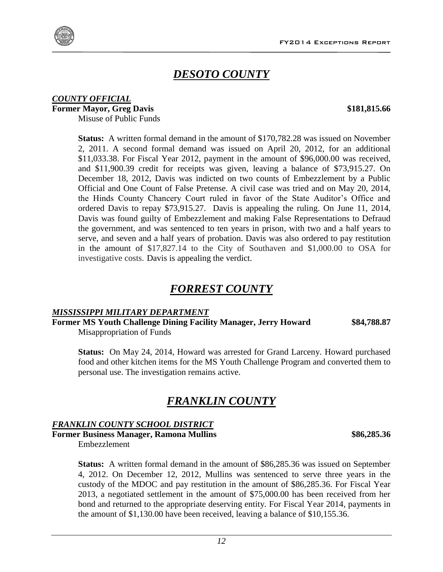## *DESOTO COUNTY*

### *COUNTY OFFICIAL* **Former Mayor, Greg Davis \$181,815.66** Misuse of Public Funds

**Status:** A written formal demand in the amount of \$170,782.28 was issued on November 2, 2011. A second formal demand was issued on April 20, 2012, for an additional \$11,033.38. For Fiscal Year 2012, payment in the amount of \$96,000.00 was received, and \$11,900.39 credit for receipts was given, leaving a balance of \$73,915.27. On December 18, 2012, Davis was indicted on two counts of Embezzlement by a Public Official and One Count of False Pretense. A civil case was tried and on May 20, 2014, the Hinds County Chancery Court ruled in favor of the State Auditor's Office and ordered Davis to repay \$73,915.27. Davis is appealing the ruling. On June 11, 2014, Davis was found guilty of Embezzlement and making False Representations to Defraud the government, and was sentenced to ten years in prison, with two and a half years to serve, and seven and a half years of probation. Davis was also ordered to pay restitution in the amount of \$17,827.14 to the City of Southaven and \$1,000.00 to OSA for investigative costs. Davis is appealing the verdict.

## *FORREST COUNTY*

## *MISSISSIPPI MILITARY DEPARTMENT*

**Former MS Youth Challenge Dining Facility Manager, Jerry Howard \$84,788.87** Misappropriation of Funds

**Status:** On May 24, 2014, Howard was arrested for Grand Larceny. Howard purchased food and other kitchen items for the MS Youth Challenge Program and converted them to personal use. The investigation remains active.

## *FRANKLIN COUNTY*

## *FRANKLIN COUNTY SCHOOL DISTRICT*

**Former Business Manager, Ramona Mullins \$86,285.36**

Embezzlement

**Status:** A written formal demand in the amount of \$86,285.36 was issued on September 4, 2012. On December 12, 2012, Mullins was sentenced to serve three years in the custody of the MDOC and pay restitution in the amount of \$86,285.36. For Fiscal Year 2013, a negotiated settlement in the amount of \$75,000.00 has been received from her bond and returned to the appropriate deserving entity. For Fiscal Year 2014, payments in the amount of \$1,130.00 have been received, leaving a balance of \$10,155.36.

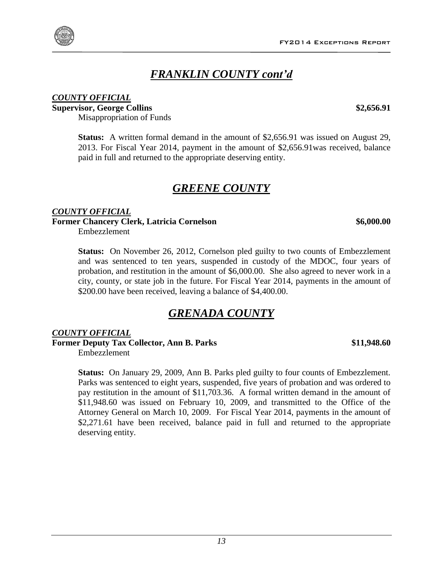## *FRANKLIN COUNTY cont'd*

## *COUNTY OFFICIAL*

## **Supervisor, George Collins \$2,656.91**

Misappropriation of Funds

**Status:** A written formal demand in the amount of \$2,656.91 was issued on August 29, 2013. For Fiscal Year 2014, payment in the amount of \$2,656.91was received, balance paid in full and returned to the appropriate deserving entity.

## *GREENE COUNTY*

## *COUNTY OFFICIAL*

**Former Chancery Clerk, Latricia Cornelson \$6,000.00** Embezzlement

**Status:** On November 26, 2012, Cornelson pled guilty to two counts of Embezzlement and was sentenced to ten years, suspended in custody of the MDOC, four years of probation, and restitution in the amount of \$6,000.00. She also agreed to never work in a city, county, or state job in the future. For Fiscal Year 2014, payments in the amount of \$200.00 have been received, leaving a balance of \$4,400.00.

## *GRENADA COUNTY*

## *COUNTY OFFICIAL*

**Former Deputy Tax Collector, Ann B. Parks \$11,948.60** Embezzlement

**Status:** On January 29, 2009, Ann B. Parks pled guilty to four counts of Embezzlement. Parks was sentenced to eight years, suspended, five years of probation and was ordered to pay restitution in the amount of \$11,703.36. A formal written demand in the amount of \$11,948.60 was issued on February 10, 2009, and transmitted to the Office of the Attorney General on March 10, 2009. For Fiscal Year 2014, payments in the amount of \$2,271.61 have been received, balance paid in full and returned to the appropriate deserving entity.

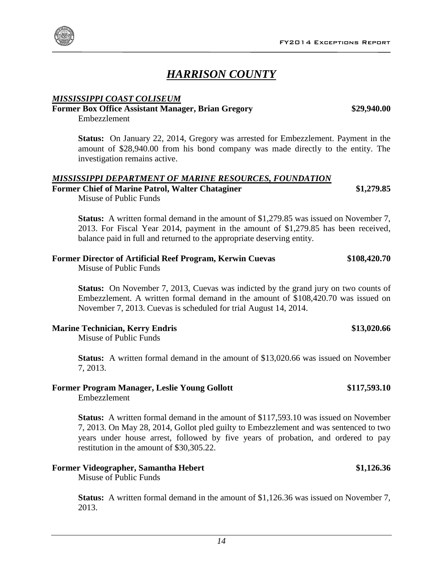FY2014 Exceptions Report



## **Former Videographer, Samantha Hebert \$1,126.36**

Misuse of Public Funds

**Status:** A written formal demand in the amount of \$1,126.36 was issued on November 7, 2013.

## *HARRISON COUNTY*

## *MISSISSIPPI COAST COLISEUM*

## **Former Box Office Assistant Manager, Brian Gregory \$29,940.00**

Embezzlement

**Status:** On January 22, 2014, Gregory was arrested for Embezzlement. Payment in the amount of \$28,940.00 from his bond company was made directly to the entity. The investigation remains active.

## *MISSISSIPPI DEPARTMENT OF MARINE RESOURCES, FOUNDATION*

## **Former Chief of Marine Patrol, Walter Chataginer \$1,279.85**

Misuse of Public Funds

**Status:** A written formal demand in the amount of \$1,279.85 was issued on November 7, 2013. For Fiscal Year 2014, payment in the amount of \$1,279.85 has been received, balance paid in full and returned to the appropriate deserving entity.

## **Former Director of Artificial Reef Program, Kerwin Cuevas \$108,420.70**

Misuse of Public Funds

**Status:** On November 7, 2013, Cuevas was indicted by the grand jury on two counts of Embezzlement. A written formal demand in the amount of \$108,420.70 was issued on November 7, 2013. Cuevas is scheduled for trial August 14, 2014.

## **Marine Technician, Kerry Endris \$13,020.66**

Misuse of Public Funds

**Status:** A written formal demand in the amount of \$13,020.66 was issued on November 7, 2013.

## **Former Program Manager, Leslie Young Gollott \$117,593.10**

Embezzlement

**Status:** A written formal demand in the amount of \$117,593.10 was issued on November 7, 2013. On May 28, 2014, Gollot pled guilty to Embezzlement and was sentenced to two years under house arrest, followed by five years of probation, and ordered to pay restitution in the amount of \$30,305.22.



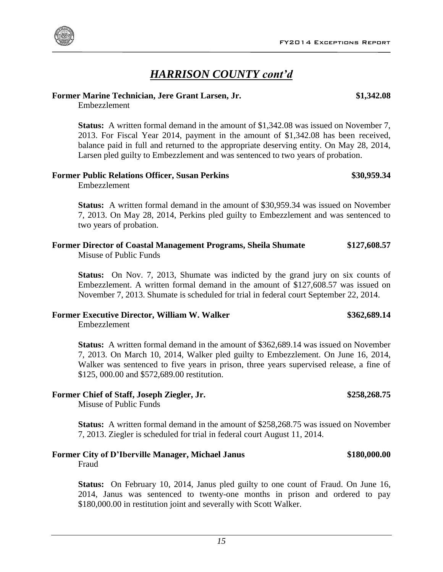## *HARRISON COUNTY cont'd*

### **Former Marine Technician, Jere Grant Larsen, Jr. \$1,342.08**

Embezzlement

**Status:** A written formal demand in the amount of \$1,342.08 was issued on November 7, 2013. For Fiscal Year 2014, payment in the amount of \$1,342.08 has been received, balance paid in full and returned to the appropriate deserving entity. On May 28, 2014, Larsen pled guilty to Embezzlement and was sentenced to two years of probation.

### **Former Public Relations Officer, Susan Perkins \$30,959.34**

Embezzlement

**Status:** A written formal demand in the amount of \$30,959.34 was issued on November 7, 2013. On May 28, 2014, Perkins pled guilty to Embezzlement and was sentenced to two years of probation.

### **Former Director of Coastal Management Programs, Sheila Shumate \$127,608.57** Misuse of Public Funds

**Status:** On Nov. 7, 2013, Shumate was indicted by the grand jury on six counts of Embezzlement. A written formal demand in the amount of \$127,608.57 was issued on November 7, 2013. Shumate is scheduled for trial in federal court September 22, 2014.

## **Former Executive Director, William W. Walker 1996 1997 1998 \$362,689.14**

Embezzlement

**Status:** A written formal demand in the amount of \$362,689.14 was issued on November 7, 2013. On March 10, 2014, Walker pled guilty to Embezzlement. On June 16, 2014, Walker was sentenced to five years in prison, three years supervised release, a fine of \$125, 000.00 and \$572,689.00 restitution.

## Former Chief of Staff, Joseph Ziegler, Jr.  $$258,268.75$

Misuse of Public Funds

**Status:** A written formal demand in the amount of \$258,268.75 was issued on November 7, 2013. Ziegler is scheduled for trial in federal court August 11, 2014.

## **Former City of D'Iberville Manager, Michael Janus \$180,000.00**

Fraud

**Status:** On February 10, 2014, Janus pled guilty to one count of Fraud. On June 16, 2014, Janus was sentenced to twenty-one months in prison and ordered to pay \$180,000.00 in restitution joint and severally with Scott Walker.

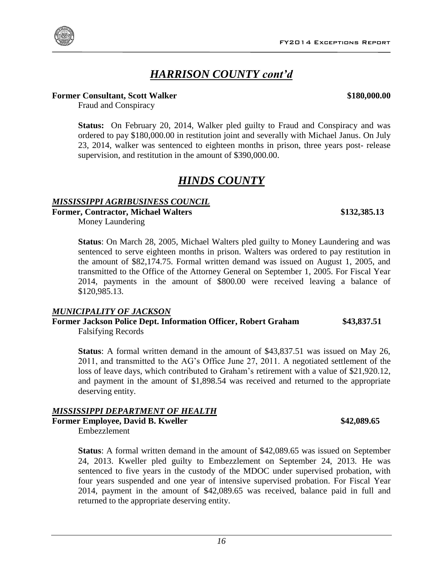## *HARRISON COUNTY cont'd*

### **Former Consultant, Scott Walker \$180,000.00** \$180,000.00

Fraud and Conspiracy

**Status:** On February 20, 2014, Walker pled guilty to Fraud and Conspiracy and was ordered to pay \$180,000.00 in restitution joint and severally with Michael Janus. On July 23, 2014, walker was sentenced to eighteen months in prison, three years post- release supervision, and restitution in the amount of \$390,000.00.

## *HINDS COUNTY*

### *MISSISSIPPI AGRIBUSINESS COUNCIL*

**Former, Contractor, Michael Walters \$132,385.13** 

Money Laundering

**Status**: On March 28, 2005, Michael Walters pled guilty to Money Laundering and was sentenced to serve eighteen months in prison. Walters was ordered to pay restitution in the amount of \$82,174.75. Formal written demand was issued on August 1, 2005, and transmitted to the Office of the Attorney General on September 1, 2005. For Fiscal Year 2014, payments in the amount of \$800.00 were received leaving a balance of \$120,985.13.

## *MUNICIPALITY OF JACKSON*

### **Former Jackson Police Dept. Information Officer, Robert Graham \$43,837.51** Falsifying Records

**Status**: A formal written demand in the amount of \$43,837.51 was issued on May 26, 2011, and transmitted to the AG's Office June 27, 2011. A negotiated settlement of the loss of leave days, which contributed to Graham's retirement with a value of \$21,920.12, and payment in the amount of \$1,898.54 was received and returned to the appropriate deserving entity.

## *MISSISSIPPI DEPARTMENT OF HEALTH*

**Former Employee, David B. Kweller \$42,089.65** Embezzlement

**Status**: A formal written demand in the amount of \$42,089.65 was issued on September 24, 2013. Kweller pled guilty to Embezzlement on September 24, 2013. He was sentenced to five years in the custody of the MDOC under supervised probation, with four years suspended and one year of intensive supervised probation. For Fiscal Year 2014, payment in the amount of \$42,089.65 was received, balance paid in full and returned to the appropriate deserving entity.



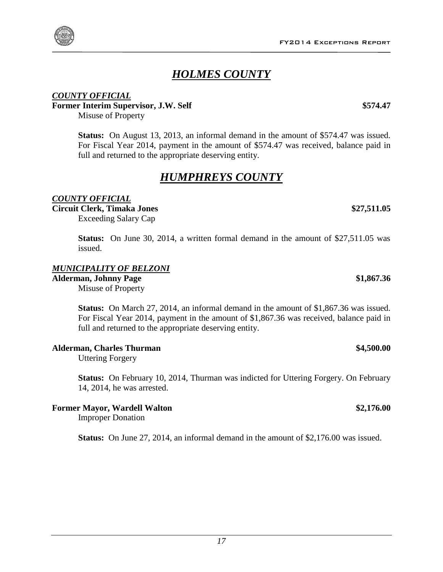## *HOLMES COUNTY*

### *COUNTY OFFICIAL* **Former Interim Supervisor, J.W. Self \$574.47**

Misuse of Property

**Status:** On August 13, 2013, an informal demand in the amount of \$574.47 was issued. For Fiscal Year 2014, payment in the amount of \$574.47 was received, balance paid in full and returned to the appropriate deserving entity.

## *HUMPHREYS COUNTY*

## *COUNTY OFFICIAL*

## **Circuit Clerk, Timaka Jones \$27,511.05**

Exceeding Salary Cap

**Status:** On June 30, 2014, a written formal demand in the amount of \$27,511.05 was issued.

### *MUNICIPALITY OF BELZONI*

**Alderman, Johnny Page \$1,867.36**

Misuse of Property

**Status:** On March 27, 2014, an informal demand in the amount of \$1,867.36 was issued. For Fiscal Year 2014, payment in the amount of \$1,867.36 was received, balance paid in full and returned to the appropriate deserving entity.

### **Alderman, Charles Thurman \$4,500.00**

Uttering Forgery

**Status:** On February 10, 2014, Thurman was indicted for Uttering Forgery. On February 14, 2014, he was arrested.

## **Former Mayor, Wardell Walton \$2,176.00**

Improper Donation

**Status:** On June 27, 2014, an informal demand in the amount of \$2,176.00 was issued.

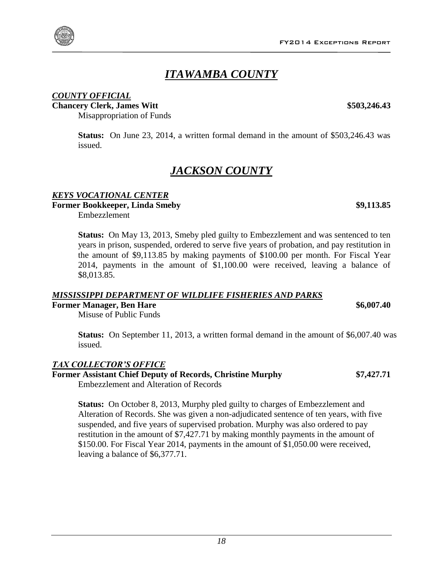## *ITAWAMBA COUNTY*

### *COUNTY OFFICIAL*

**Chancery Clerk, James Witt \$503,246.43** Misappropriation of Funds

**Status:** On June 23, 2014, a written formal demand in the amount of \$503,246.43 was issued.

## *JACKSON COUNTY*

### *KEYS VOCATIONAL CENTER* **Former Bookkeeper, Linda Smeby \$9,113.85**

Embezzlement

**Status:** On May 13, 2013, Smeby pled guilty to Embezzlement and was sentenced to ten years in prison, suspended, ordered to serve five years of probation, and pay restitution in the amount of \$9,113.85 by making payments of \$100.00 per month. For Fiscal Year 2014, payments in the amount of \$1,100.00 were received, leaving a balance of \$8,013.85.

### *MISSISSIPPI DEPARTMENT OF WILDLIFE FISHERIES AND PARKS*

### **Former Manager, Ben Hare \$6,007.40**

Misuse of Public Funds

**Status:** On September 11, 2013, a written formal demand in the amount of \$6,007.40 was issued.

### *TAX COLLECTOR'S OFFICE*

### **Former Assistant Chief Deputy of Records, Christine Murphy \$7,427.71** Embezzlement and Alteration of Records

**Status:** On October 8, 2013, Murphy pled guilty to charges of Embezzlement and Alteration of Records. She was given a non-adjudicated sentence of ten years, with five suspended, and five years of supervised probation. Murphy was also ordered to pay restitution in the amount of \$7,427.71 by making monthly payments in the amount of \$150.00. For Fiscal Year 2014, payments in the amount of \$1,050.00 were received, leaving a balance of \$6,377.71.

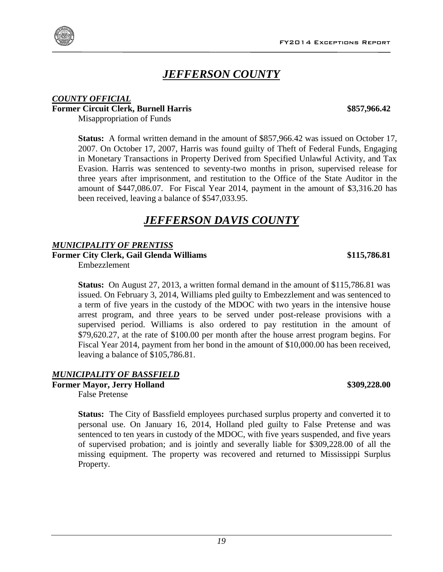## *JEFFERSON COUNTY*

## *COUNTY OFFICIAL* **Former Circuit Clerk, Burnell Harris \$857,966.42**

Misappropriation of Funds

**Status:** A formal written demand in the amount of \$857,966.42 was issued on October 17, 2007. On October 17, 2007, Harris was found guilty of Theft of Federal Funds, Engaging in Monetary Transactions in Property Derived from Specified Unlawful Activity, and Tax Evasion. Harris was sentenced to seventy-two months in prison, supervised release for three years after imprisonment, and restitution to the Office of the State Auditor in the amount of \$447,086.07. For Fiscal Year 2014, payment in the amount of \$3,316.20 has been received, leaving a balance of \$547,033.95.

## *JEFFERSON DAVIS COUNTY*

## *MUNICIPALITY OF PRENTISS*

**Former City Clerk, Gail Glenda Williams \$115,786.81**

Embezzlement

**Status:** On August 27, 2013, a written formal demand in the amount of \$115,786.81 was issued. On February 3, 2014, Williams pled guilty to Embezzlement and was sentenced to a term of five years in the custody of the MDOC with two years in the intensive house arrest program, and three years to be served under post-release provisions with a supervised period. Williams is also ordered to pay restitution in the amount of \$79,620.27, at the rate of \$100.00 per month after the house arrest program begins. For Fiscal Year 2014, payment from her bond in the amount of \$10,000.00 has been received, leaving a balance of \$105,786.81.

## *MUNICIPALITY OF BASSFIELD*

## **Former Mayor, Jerry Holland \$309,228.00**

False Pretense

**Status:** The City of Bassfield employees purchased surplus property and converted it to personal use. On January 16, 2014, Holland pled guilty to False Pretense and was sentenced to ten years in custody of the MDOC, with five years suspended, and five years of supervised probation; and is jointly and severally liable for \$309,228.00 of all the missing equipment. The property was recovered and returned to Mississippi Surplus Property.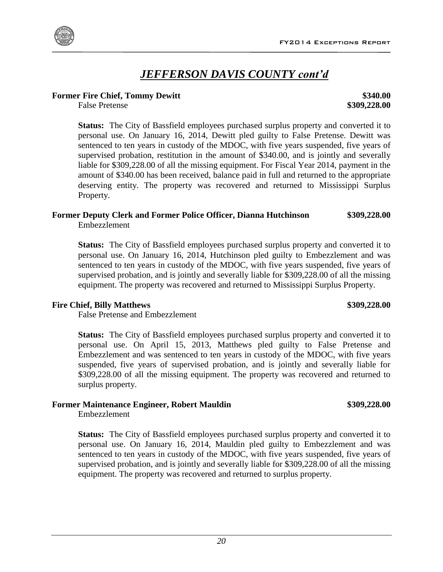## *JEFFERSON DAVIS COUNTY cont'd*

### **Former Fire Chief, Tommy Dewitt \$340.00**

False Pretense **\$309,228.00**

**Status:** The City of Bassfield employees purchased surplus property and converted it to personal use. On January 16, 2014, Dewitt pled guilty to False Pretense. Dewitt was sentenced to ten years in custody of the MDOC, with five years suspended, five years of supervised probation, restitution in the amount of \$340.00, and is jointly and severally liable for \$309,228.00 of all the missing equipment. For Fiscal Year 2014, payment in the amount of \$340.00 has been received, balance paid in full and returned to the appropriate deserving entity. The property was recovered and returned to Mississippi Surplus Property.

## **Former Deputy Clerk and Former Police Officer, Dianna Hutchinson \$309,228.00**

Embezzlement

**Status:** The City of Bassfield employees purchased surplus property and converted it to personal use. On January 16, 2014, Hutchinson pled guilty to Embezzlement and was sentenced to ten years in custody of the MDOC, with five years suspended, five years of supervised probation, and is jointly and severally liable for \$309,228.00 of all the missing equipment. The property was recovered and returned to Mississippi Surplus Property.

### Fire Chief, Billy Matthews **\$309,228.00**

False Pretense and Embezzlement

**Status:** The City of Bassfield employees purchased surplus property and converted it to personal use. On April 15, 2013, Matthews pled guilty to False Pretense and Embezzlement and was sentenced to ten years in custody of the MDOC, with five years suspended, five years of supervised probation, and is jointly and severally liable for \$309,228.00 of all the missing equipment. The property was recovered and returned to surplus property.

## **Former Maintenance Engineer, Robert Mauldin \$309,228.00**

Embezzlement

**Status:** The City of Bassfield employees purchased surplus property and converted it to personal use. On January 16, 2014, Mauldin pled guilty to Embezzlement and was sentenced to ten years in custody of the MDOC, with five years suspended, five years of supervised probation, and is jointly and severally liable for \$309,228.00 of all the missing equipment. The property was recovered and returned to surplus property.

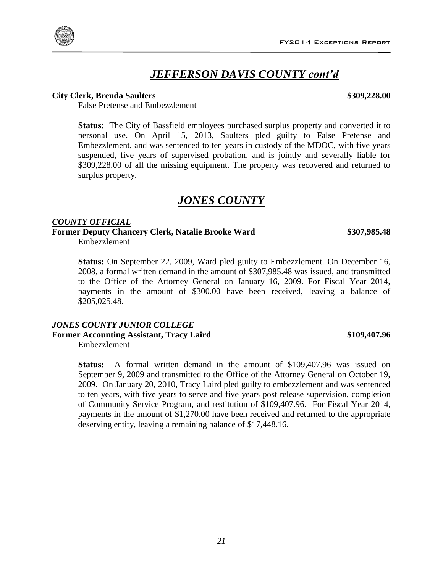

## *JEFFERSON DAVIS COUNTY cont'd*

### **City Clerk, Brenda Saulters \$309,228.00**

False Pretense and Embezzlement

**Status:** The City of Bassfield employees purchased surplus property and converted it to personal use. On April 15, 2013, Saulters pled guilty to False Pretense and Embezzlement, and was sentenced to ten years in custody of the MDOC, with five years suspended, five years of supervised probation, and is jointly and severally liable for \$309,228.00 of all the missing equipment. The property was recovered and returned to surplus property.

## *JONES COUNTY*

### *COUNTY OFFICIAL*

**Former Deputy Chancery Clerk, Natalie Brooke Ward \$307,985.48** Embezzlement

**Status:** On September 22, 2009, Ward pled guilty to Embezzlement. On December 16, 2008, a formal written demand in the amount of \$307,985.48 was issued, and transmitted to the Office of the Attorney General on January 16, 2009. For Fiscal Year 2014, payments in the amount of \$300.00 have been received, leaving a balance of \$205,025.48.

### *JONES COUNTY JUNIOR COLLEGE*

Former Accounting Assistant, Tracy Laird **\$109,407.96** 

Embezzlement

**Status:** A formal written demand in the amount of \$109,407.96 was issued on September 9, 2009 and transmitted to the Office of the Attorney General on October 19, 2009. On January 20, 2010, Tracy Laird pled guilty to embezzlement and was sentenced to ten years, with five years to serve and five years post release supervision, completion of Community Service Program, and restitution of \$109,407.96. For Fiscal Year 2014, payments in the amount of \$1,270.00 have been received and returned to the appropriate deserving entity, leaving a remaining balance of \$17,448.16.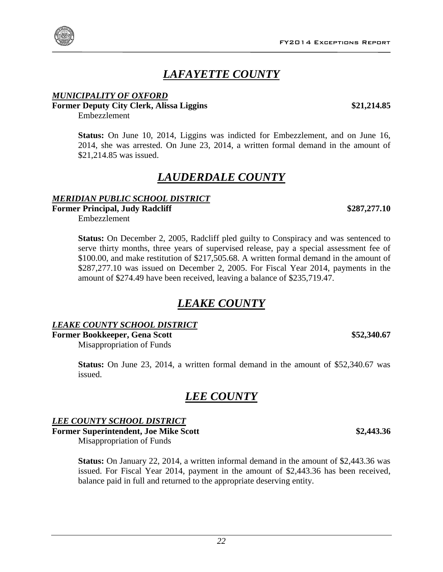## *LAFAYETTE COUNTY*

### *MUNICIPALITY OF OXFORD*

**Former Deputy City Clerk, Alissa Liggins \$21,214.85**

Embezzlement

**Status:** On June 10, 2014, Liggins was indicted for Embezzlement, and on June 16, 2014, she was arrested. On June 23, 2014, a written formal demand in the amount of \$21,214.85 was issued.

## *LAUDERDALE COUNTY*

### *MERIDIAN PUBLIC SCHOOL DISTRICT*

**Former Principal, Judy Radcliff \$287,277.10** 

Embezzlement

**Status:** On December 2, 2005, Radcliff pled guilty to Conspiracy and was sentenced to serve thirty months, three years of supervised release, pay a special assessment fee of \$100.00, and make restitution of \$217,505.68. A written formal demand in the amount of \$287,277.10 was issued on December 2, 2005. For Fiscal Year 2014, payments in the amount of \$274.49 have been received, leaving a balance of \$235,719.47.

## *LEAKE COUNTY*

### *LEAKE COUNTY SCHOOL DISTRICT*

**Former Bookkeeper, Gena Scott \$52,340.67** 

Misappropriation of Funds

**Status:** On June 23, 2014, a written formal demand in the amount of \$52,340.67 was issued.

## *LEE COUNTY*

## *LEE COUNTY SCHOOL DISTRICT*

**Former Superintendent, Joe Mike Scott \$2,443.36**

Misappropriation of Funds

**Status:** On January 22, 2014, a written informal demand in the amount of \$2,443.36 was issued. For Fiscal Year 2014, payment in the amount of \$2,443.36 has been received, balance paid in full and returned to the appropriate deserving entity.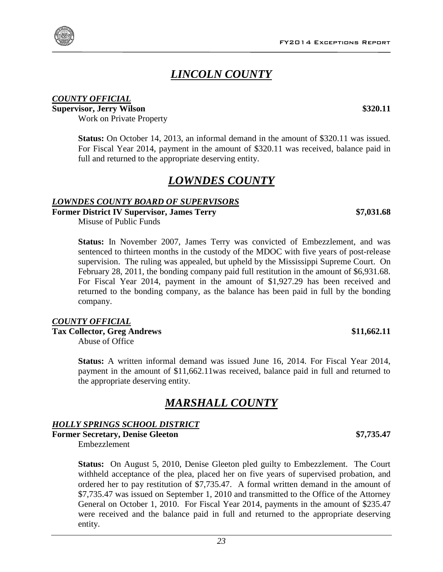FY2014 Exceptions Report

*COUNTY OFFICIAL* **Tax Collector, Greg Andrews \$11,662.11** Abuse of Office

**Status:** A written informal demand was issued June 16, 2014. For Fiscal Year 2014, payment in the amount of \$11,662.11was received, balance paid in full and returned to the appropriate deserving entity.

## *MARSHALL COUNTY*

### *HOLLY SPRINGS SCHOOL DISTRICT*

## **Former Secretary, Denise Gleeton \$7,735.47**

Embezzlement

**Status:** On August 5, 2010, Denise Gleeton pled guilty to Embezzlement. The Court withheld acceptance of the plea, placed her on five years of supervised probation, and ordered her to pay restitution of \$7,735.47. A formal written demand in the amount of \$7,735.47 was issued on September 1, 2010 and transmitted to the Office of the Attorney General on October 1, 2010. For Fiscal Year 2014, payments in the amount of \$235.47 were received and the balance paid in full and returned to the appropriate deserving entity.

## *LINCOLN COUNTY*

### *COUNTY OFFICIAL* **Supervisor, Jerry Wilson \$320.11**

Work on Private Property

**Status:** On October 14, 2013, an informal demand in the amount of \$320.11 was issued. For Fiscal Year 2014, payment in the amount of \$320.11 was received, balance paid in full and returned to the appropriate deserving entity.

## *LOWNDES COUNTY*

### *LOWNDES COUNTY BOARD OF SUPERVISORS*

**Former District IV Supervisor, James Terry \$7,031.68**

Misuse of Public Funds

**Status:** In November 2007, James Terry was convicted of Embezzlement, and was sentenced to thirteen months in the custody of the MDOC with five years of post-release supervision. The ruling was appealed, but upheld by the Mississippi Supreme Court. On February 28, 2011, the bonding company paid full restitution in the amount of \$6,931.68. For Fiscal Year 2014, payment in the amount of \$1,927.29 has been received and returned to the bonding company, as the balance has been paid in full by the bonding company.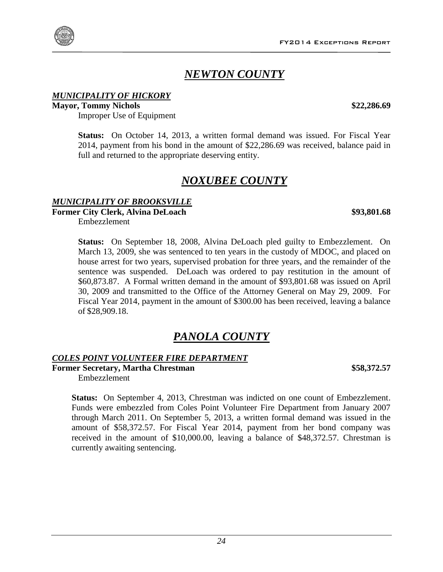## *NEWTON COUNTY*

### *MUNICIPALITY OF HICKORY*

### **Mayor, Tommy Nichols \$22,286.69**

Improper Use of Equipment

**Status:** On October 14, 2013, a written formal demand was issued. For Fiscal Year 2014, payment from his bond in the amount of \$22,286.69 was received, balance paid in full and returned to the appropriate deserving entity.

## *NOXUBEE COUNTY*

## *MUNICIPALITY OF BROOKSVILLE*

Former City Clerk, Alvina DeLoach **\$93,801.68** 

Embezzlement

**Status:** On September 18, 2008, Alvina DeLoach pled guilty to Embezzlement. On March 13, 2009, she was sentenced to ten years in the custody of MDOC, and placed on house arrest for two years, supervised probation for three years, and the remainder of the sentence was suspended. DeLoach was ordered to pay restitution in the amount of \$60,873.87. A Formal written demand in the amount of \$93,801.68 was issued on April 30, 2009 and transmitted to the Office of the Attorney General on May 29, 2009. For Fiscal Year 2014, payment in the amount of \$300.00 has been received, leaving a balance of \$28,909.18.

## *PANOLA COUNTY*

## *COLES POINT VOLUNTEER FIRE DEPARTMENT*

### **Former Secretary, Martha Chrestman \$58,372.57** Embezzlement

**Status:** On September 4, 2013, Chrestman was indicted on one count of Embezzlement. Funds were embezzled from Coles Point Volunteer Fire Department from January 2007 through March 2011. On September 5, 2013, a written formal demand was issued in the amount of \$58,372.57. For Fiscal Year 2014, payment from her bond company was received in the amount of \$10,000.00, leaving a balance of \$48,372.57. Chrestman is currently awaiting sentencing.

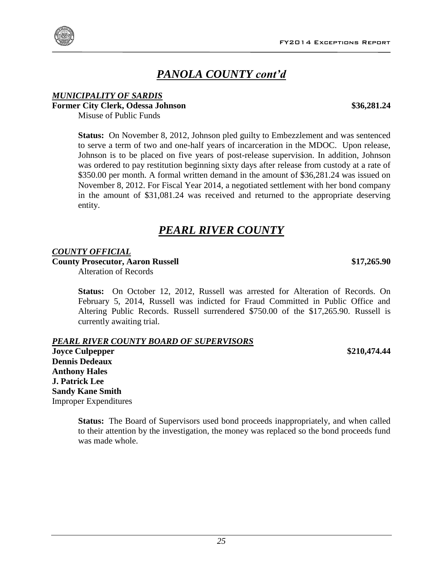## *PANOLA COUNTY cont'd*

### *MUNICIPALITY OF SARDIS*

**Former City Clerk, Odessa Johnson \$36,281.24**

Misuse of Public Funds

**Status:** On November 8, 2012, Johnson pled guilty to Embezzlement and was sentenced to serve a term of two and one-half years of incarceration in the MDOC. Upon release, Johnson is to be placed on five years of post-release supervision. In addition, Johnson was ordered to pay restitution beginning sixty days after release from custody at a rate of \$350.00 per month. A formal written demand in the amount of \$36,281.24 was issued on November 8, 2012. For Fiscal Year 2014, a negotiated settlement with her bond company in the amount of \$31,081.24 was received and returned to the appropriate deserving entity.

## *PEARL RIVER COUNTY*

### *COUNTY OFFICIAL* **County Prosecutor, Aaron Russell \$17,265.90** Alteration of Records

**Status:** On October 12, 2012, Russell was arrested for Alteration of Records. On February 5, 2014, Russell was indicted for Fraud Committed in Public Office and Altering Public Records. Russell surrendered \$750.00 of the \$17,265.90. Russell is currently awaiting trial.

### *PEARL RIVER COUNTY BOARD OF SUPERVISORS*

**Joyce Culpepper \$210,474.44 Dennis Dedeaux Anthony Hales J. Patrick Lee Sandy Kane Smith** Improper Expenditures

**Status:** The Board of Supervisors used bond proceeds inappropriately, and when called to their attention by the investigation, the money was replaced so the bond proceeds fund was made whole.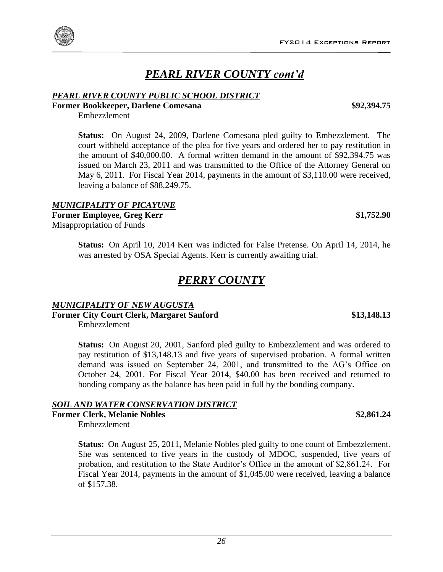## *PEARL RIVER COUNTY cont'd*

### *PEARL RIVER COUNTY PUBLIC SCHOOL DISTRICT*

**Former Bookkeeper, Darlene Comesana \$92,394.75** Embezzlement

**Status:** On August 24, 2009, Darlene Comesana pled guilty to Embezzlement. The court withheld acceptance of the plea for five years and ordered her to pay restitution in the amount of \$40,000.00. A formal written demand in the amount of \$92,394.75 was issued on March 23, 2011 and was transmitted to the Office of the Attorney General on May 6, 2011. For Fiscal Year 2014, payments in the amount of \$3,110.00 were received, leaving a balance of \$88,249.75.

### *MUNICIPALITY OF PICAYUNE*

**Former Employee, Greg Kerr \$1,752.90** Misappropriation of Funds

**Status:** On April 10, 2014 Kerr was indicted for False Pretense. On April 14, 2014, he was arrested by OSA Special Agents. Kerr is currently awaiting trial.

## *PERRY COUNTY*

### *MUNICIPALITY OF NEW AUGUSTA*

**Former City Court Clerk, Margaret Sanford \$13,148.13**

Embezzlement

**Status:** On August 20, 2001, Sanford pled guilty to Embezzlement and was ordered to pay restitution of \$13,148.13 and five years of supervised probation. A formal written demand was issued on September 24, 2001, and transmitted to the AG's Office on October 24, 2001. For Fiscal Year 2014, \$40.00 has been received and returned to bonding company as the balance has been paid in full by the bonding company.

## *SOIL AND WATER CONSERVATION DISTRICT*

## **Former Clerk, Melanie Nobles \$2,861.24**

Embezzlement

**Status:** On August 25, 2011, Melanie Nobles pled guilty to one count of Embezzlement. She was sentenced to five years in the custody of MDOC, suspended, five years of probation, and restitution to the State Auditor's Office in the amount of \$2,861.24. For Fiscal Year 2014, payments in the amount of \$1,045.00 were received, leaving a balance of \$157.38.



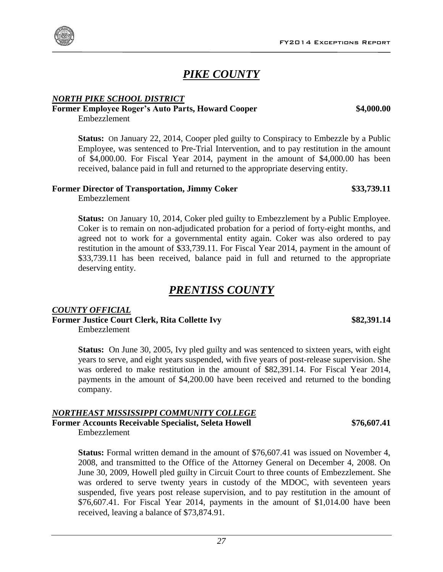## *PIKE COUNTY*

## *NORTH PIKE SCHOOL DISTRICT*

## **Former Employee Roger's Auto Parts, Howard Cooper \$4,000.00**

Embezzlement

**Status:** On January 22, 2014, Cooper pled guilty to Conspiracy to Embezzle by a Public Employee, was sentenced to Pre-Trial Intervention, and to pay restitution in the amount of \$4,000.00. For Fiscal Year 2014, payment in the amount of \$4,000.00 has been received, balance paid in full and returned to the appropriate deserving entity.

## **Former Director of Transportation, Jimmy Coker \$33,739.11**

Embezzlement

**Status:** On January 10, 2014, Coker pled guilty to Embezzlement by a Public Employee. Coker is to remain on non-adjudicated probation for a period of forty-eight months, and agreed not to work for a governmental entity again. Coker was also ordered to pay restitution in the amount of \$33,739.11. For Fiscal Year 2014, payment in the amount of \$33,739.11 has been received, balance paid in full and returned to the appropriate deserving entity.

## *PRENTISS COUNTY*

## *COUNTY OFFICIAL*

**Former Justice Court Clerk, Rita Collette Ivy \$82,391.14** Embezzlement

**Status:** On June 30, 2005, Ivy pled guilty and was sentenced to sixteen years, with eight years to serve, and eight years suspended, with five years of post-release supervision. She was ordered to make restitution in the amount of \$82,391.14. For Fiscal Year 2014, payments in the amount of \$4,200.00 have been received and returned to the bonding company.

## *NORTHEAST MISSISSIPPI COMMUNITY COLLEGE*

**Former Accounts Receivable Specialist, Seleta Howell \$76,607.41** Embezzlement

**Status:** Formal written demand in the amount of \$76,607.41 was issued on November 4, 2008, and transmitted to the Office of the Attorney General on December 4, 2008. On June 30, 2009, Howell pled guilty in Circuit Court to three counts of Embezzlement. She was ordered to serve twenty years in custody of the MDOC, with seventeen years suspended, five years post release supervision, and to pay restitution in the amount of \$76,607.41. For Fiscal Year 2014, payments in the amount of \$1,014.00 have been received, leaving a balance of \$73,874.91.

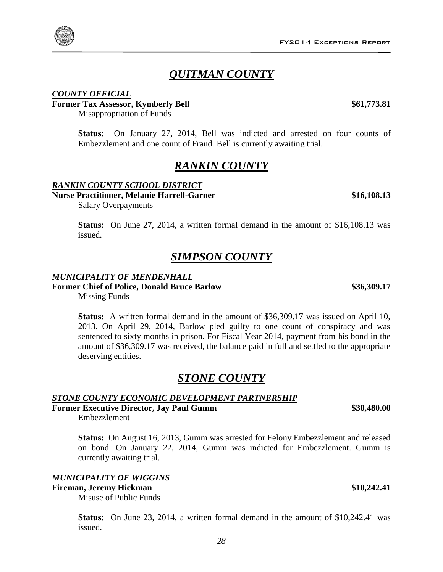## *QUITMAN COUNTY*

### *COUNTY OFFICIAL*

## Former Tax Assessor, Kymberly Bell **\$61,773.81**

Misappropriation of Funds

**Status:** On January 27, 2014, Bell was indicted and arrested on four counts of Embezzlement and one count of Fraud. Bell is currently awaiting trial.

## *RANKIN COUNTY*

### *RANKIN COUNTY SCHOOL DISTRICT*

**Nurse Practitioner, Melanie Harrell-Garner \$16,108.13** 

Salary Overpayments

**Status:** On June 27, 2014, a written formal demand in the amount of \$16,108.13 was issued.

## *SIMPSON COUNTY*

### *MUNICIPALITY OF MENDENHALL* **Former Chief of Police, Donald Bruce Barlow 636,309.17**

Missing Funds

**Status:** A written formal demand in the amount of \$36,309.17 was issued on April 10, 2013. On April 29, 2014, Barlow pled guilty to one count of conspiracy and was sentenced to sixty months in prison. For Fiscal Year 2014, payment from his bond in the amount of \$36,309.17 was received, the balance paid in full and settled to the appropriate deserving entities.

## *STONE COUNTY*

## *STONE COUNTY ECONOMIC DEVELOPMENT PARTNERSHIP*

**Former Executive Director, Jay Paul Gumm \$30,480.00**

Embezzlement

**Status:** On August 16, 2013, Gumm was arrested for Felony Embezzlement and released on bond. On January 22, 2014, Gumm was indicted for Embezzlement. Gumm is currently awaiting trial.

### *MUNICIPALITY OF WIGGINS*

**Fireman, Jeremy Hickman \$10,242.41**

Misuse of Public Funds

**Status:** On June 23, 2014, a written formal demand in the amount of \$10,242.41 was issued.

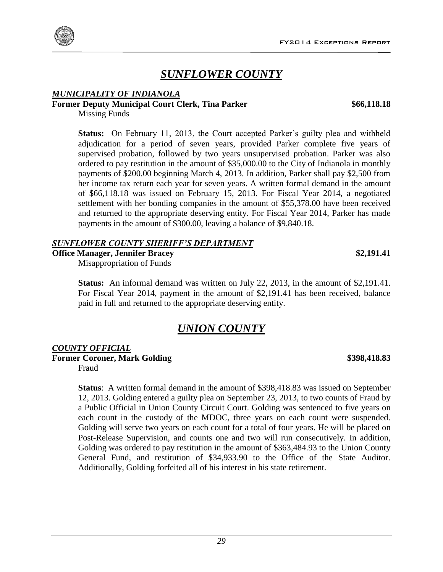## *SUNFLOWER COUNTY*

### *MUNICIPALITY OF INDIANOLA*

## **Former Deputy Municipal Court Clerk, Tina Parker \$66,118.18**

Missing Funds

**Status:** On February 11, 2013, the Court accepted Parker's guilty plea and withheld adjudication for a period of seven years, provided Parker complete five years of supervised probation, followed by two years unsupervised probation. Parker was also ordered to pay restitution in the amount of \$35,000.00 to the City of Indianola in monthly payments of \$200.00 beginning March 4, 2013. In addition, Parker shall pay \$2,500 from her income tax return each year for seven years. A written formal demand in the amount of \$66,118.18 was issued on February 15, 2013. For Fiscal Year 2014, a negotiated settlement with her bonding companies in the amount of \$55,378.00 have been received and returned to the appropriate deserving entity. For Fiscal Year 2014, Parker has made payments in the amount of \$300.00, leaving a balance of \$9,840.18.

## *SUNFLOWER COUNTY SHERIFF'S DEPARTMENT*

**Office Manager, Jennifer Bracey \$2,191.41**

Misappropriation of Funds

**Status:** An informal demand was written on July 22, 2013, in the amount of \$2,191.41. For Fiscal Year 2014, payment in the amount of \$2,191.41 has been received, balance paid in full and returned to the appropriate deserving entity.

## *UNION COUNTY*

## *COUNTY OFFICIAL* **Former Coroner, Mark Golding**   $$398,418.83$

Fraud

**Status**: A written formal demand in the amount of \$398,418.83 was issued on September 12, 2013. Golding entered a guilty plea on September 23, 2013, to two counts of Fraud by a Public Official in Union County Circuit Court. Golding was sentenced to five years on each count in the custody of the MDOC, three years on each count were suspended. Golding will serve two years on each count for a total of four years. He will be placed on Post-Release Supervision, and counts one and two will run consecutively. In addition, Golding was ordered to pay restitution in the amount of \$363,484.93 to the Union County General Fund, and restitution of \$34,933.90 to the Office of the State Auditor. Additionally, Golding forfeited all of his interest in his state retirement.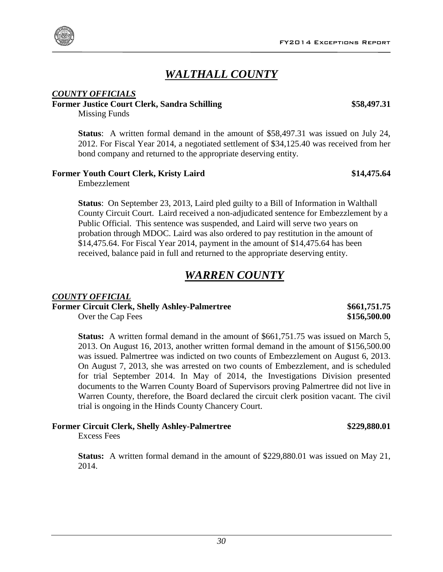*30*

## *WALTHALL COUNTY*

### *COUNTY OFFICIALS*

## **Former Justice Court Clerk, Sandra Schilling \$58,497.31**

Missing Funds

**Status**: A written formal demand in the amount of \$58,497.31 was issued on July 24, 2012. For Fiscal Year 2014, a negotiated settlement of \$34,125.40 was received from her bond company and returned to the appropriate deserving entity.

### **Former Youth Court Clerk, Kristy Laird \$14,475.64**

Embezzlement

**Status**: On September 23, 2013, Laird pled guilty to a Bill of Information in Walthall County Circuit Court. Laird received a non-adjudicated sentence for Embezzlement by a Public Official. This sentence was suspended, and Laird will serve two years on probation through MDOC. Laird was also ordered to pay restitution in the amount of \$14,475.64. For Fiscal Year 2014, payment in the amount of \$14,475.64 has been received, balance paid in full and returned to the appropriate deserving entity.

## *WARREN COUNTY*

### *COUNTY OFFICIAL* **Former Circuit Clerk, Shelly Ashley-Palmertree \$661,751.75** Over the Cap Fees **\$156,500.00**

**Status:** A written formal demand in the amount of \$661,751.75 was issued on March 5, 2013. On August 16, 2013, another written formal demand in the amount of \$156,500.00 was issued. Palmertree was indicted on two counts of Embezzlement on August 6, 2013. On August 7, 2013, she was arrested on two counts of Embezzlement, and is scheduled for trial September 2014. In May of 2014, the Investigations Division presented documents to the Warren County Board of Supervisors proving Palmertree did not live in Warren County, therefore, the Board declared the circuit clerk position vacant. The civil trial is ongoing in the Hinds County Chancery Court.

## **Former Circuit Clerk, Shelly Ashley-Palmertree \$229,880.01**

Excess Fees

**Status:** A written formal demand in the amount of \$229,880.01 was issued on May 21, 2014.

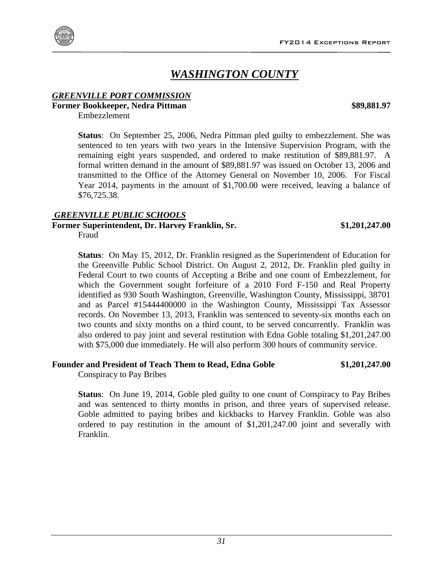## *WASHINGTON COUNTY*

## *GREENVILLE PORT COMMISSION*

**Former Bookkeeper, Nedra Pittman 1989, 1991 1992 <b>1993 1994 1995 1996 1996 1996 1996 1996 1996 1996 1996 1996 1996 1996 1996 1996 1996 1996 1996 1996 1996 1996 1996 1996** Embezzlement

**Status**: On September 25, 2006, Nedra Pittman pled guilty to embezzlement. She was sentenced to ten years with two years in the Intensive Supervision Program, with the remaining eight years suspended, and ordered to make restitution of \$89,881.97. A formal written demand in the amount of \$89,881.97 was issued on October 13, 2006 and transmitted to the Office of the Attorney General on November 10, 2006. For Fiscal Year 2014, payments in the amount of \$1,700.00 were received, leaving a balance of \$76,725.38.

### *GREENVILLE PUBLIC SCHOOLS*

## **Former Superintendent, Dr. Harvey Franklin, Sr. \$1,201,247.00**

Fraud

**Status**: On May 15, 2012, Dr. Franklin resigned as the Superintendent of Education for the Greenville Public School District. On August 2, 2012, Dr. Franklin pled guilty in Federal Court to two counts of Accepting a Bribe and one count of Embezzlement, for which the Government sought forfeiture of a 2010 Ford F-150 and Real Property identified as 930 South Washington, Greenville, Washington County, Mississippi, 38701 and as Parcel #15444400000 in the Washington County, Mississippi Tax Assessor records. On November 13, 2013, Franklin was sentenced to seventy-six months each on two counts and sixty months on a third count, to be served concurrently. Franklin was also ordered to pay joint and several restitution with Edna Goble totaling \$1,201,247.00 with \$75,000 due immediately. He will also perform 300 hours of community service.

## **Founder and President of Teach Them to Read, Edna Goble \$1,201,247.00**

Conspiracy to Pay Bribes

**Status**: On June 19, 2014, Goble pled guilty to one count of Conspiracy to Pay Bribes and was sentenced to thirty months in prison, and three years of supervised release. Goble admitted to paying bribes and kickbacks to Harvey Franklin. Goble was also ordered to pay restitution in the amount of \$1,201,247.00 joint and severally with Franklin.



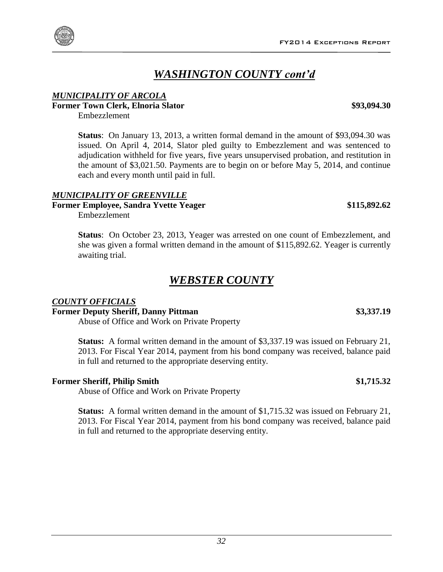## *WASHINGTON COUNTY cont'd*

## *MUNICIPALITY OF ARCOLA*

## **Former Town Clerk, Elnoria Slator \$93,094.30**

Embezzlement

**Status**: On January 13, 2013, a written formal demand in the amount of \$93,094.30 was issued. On April 4, 2014, Slator pled guilty to Embezzlement and was sentenced to adjudication withheld for five years, five years unsupervised probation, and restitution in the amount of \$3,021.50. Payments are to begin on or before May 5, 2014, and continue each and every month until paid in full.

### *MUNICIPALITY OF GREENVILLE*

**Former Employee, Sandra Yvette Yeager \$115,892.62**

Embezzlement

**Status**: On October 23, 2013, Yeager was arrested on one count of Embezzlement, and she was given a formal written demand in the amount of \$115,892.62. Yeager is currently awaiting trial.

## *WEBSTER COUNTY*

## *COUNTY OFFICIALS*

### **Former Deputy Sheriff, Danny Pittman \$3,337.19**

Abuse of Office and Work on Private Property

**Status:** A formal written demand in the amount of \$3,337.19 was issued on February 21, 2013. For Fiscal Year 2014, payment from his bond company was received, balance paid in full and returned to the appropriate deserving entity.

## **Former Sheriff, Philip Smith \$1,715.32**

Abuse of Office and Work on Private Property

**Status:** A formal written demand in the amount of \$1,715.32 was issued on February 21, 2013. For Fiscal Year 2014, payment from his bond company was received, balance paid in full and returned to the appropriate deserving entity.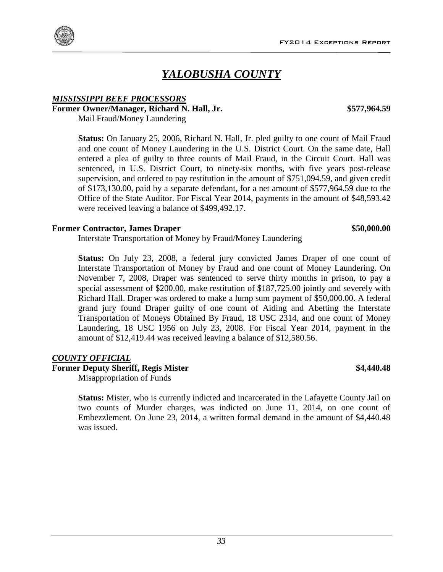## *YALOBUSHA COUNTY*

### *MISSISSIPPI BEEF PROCESSORS* **Former Owner/Manager, Richard N. Hall, Jr. \$577,964.59**

Mail Fraud/Money Laundering

**Status:** On January 25, 2006, Richard N. Hall, Jr. pled guilty to one count of Mail Fraud and one count of Money Laundering in the U.S. District Court. On the same date, Hall entered a plea of guilty to three counts of Mail Fraud, in the Circuit Court. Hall was sentenced, in U.S. District Court, to ninety-six months, with five years post-release supervision, and ordered to pay restitution in the amount of \$751,094.59, and given credit of \$173,130.00, paid by a separate defendant, for a net amount of \$577,964.59 due to the Office of the State Auditor. For Fiscal Year 2014, payments in the amount of \$48,593.42 were received leaving a balance of \$499,492.17.

### **Former Contractor, James Draper \$50,000.00**

Interstate Transportation of Money by Fraud/Money Laundering

**Status:** On July 23, 2008, a federal jury convicted James Draper of one count of Interstate Transportation of Money by Fraud and one count of Money Laundering. On November 7, 2008, Draper was sentenced to serve thirty months in prison, to pay a special assessment of \$200.00, make restitution of \$187,725.00 jointly and severely with Richard Hall. Draper was ordered to make a lump sum payment of \$50,000.00. A federal grand jury found Draper guilty of one count of Aiding and Abetting the Interstate Transportation of Moneys Obtained By Fraud, 18 USC 2314, and one count of Money Laundering, 18 USC 1956 on July 23, 2008. For Fiscal Year 2014, payment in the amount of \$12,419.44 was received leaving a balance of \$12,580.56.

## *COUNTY OFFICIAL*

## **Former Deputy Sheriff, Regis Mister \$4,440.48**

Misappropriation of Funds

**Status:** Mister, who is currently indicted and incarcerated in the Lafayette County Jail on two counts of Murder charges, was indicted on June 11, 2014, on one count of Embezzlement. On June 23, 2014, a written formal demand in the amount of \$4,440.48 was issued.

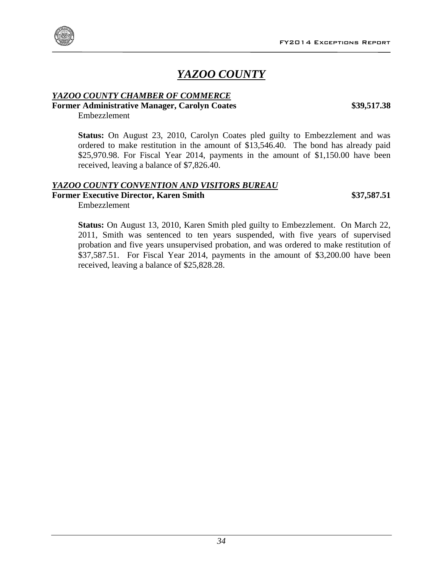



## *YAZOO COUNTY*

## *YAZOO COUNTY CHAMBER OF COMMERCE*

**Former Administrative Manager, Carolyn Coates \$39,517.38** Embezzlement

**Status:** On August 23, 2010, Carolyn Coates pled guilty to Embezzlement and was ordered to make restitution in the amount of \$13,546.40. The bond has already paid \$25,970.98. For Fiscal Year 2014, payments in the amount of \$1,150.00 have been received, leaving a balance of \$7,826.40.

### *YAZOO COUNTY CONVENTION AND VISITORS BUREAU*

## **Former Executive Director, Karen Smith \$37,587.51**

Embezzlement

**Status:** On August 13, 2010, Karen Smith pled guilty to Embezzlement. On March 22, 2011, Smith was sentenced to ten years suspended, with five years of supervised probation and five years unsupervised probation, and was ordered to make restitution of \$37,587.51. For Fiscal Year 2014, payments in the amount of \$3,200.00 have been received, leaving a balance of \$25,828.28.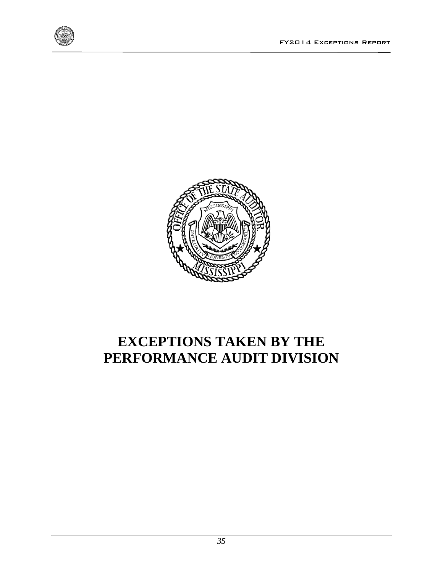



## **EXCEPTIONS TAKEN BY THE PERFORMANCE AUDIT DIVISION**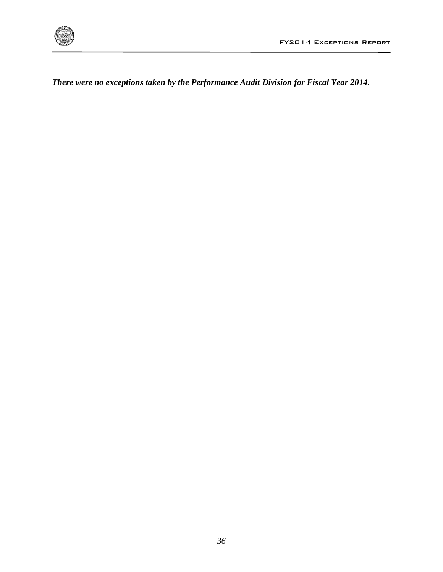

*There were no exceptions taken by the Performance Audit Division for Fiscal Year 2014.*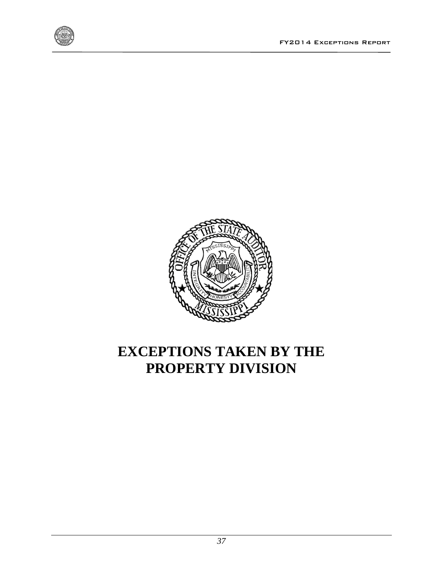



## **EXCEPTIONS TAKEN BY THE PROPERTY DIVISION**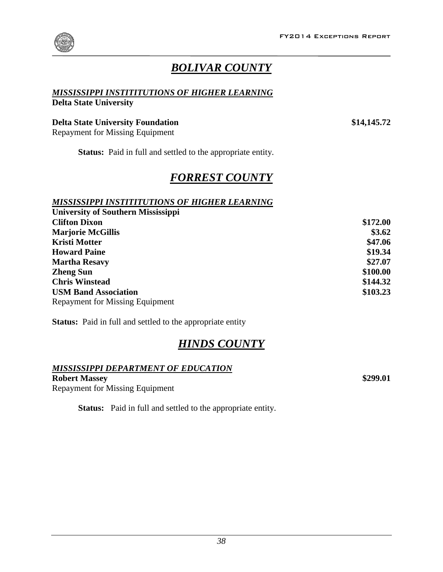

## *BOLIVAR COUNTY*

## *MISSISSIPPI INSTITITUTIONS OF HIGHER LEARNING*

**Delta State University**

### **Delta State University Foundation \$14,145.72**

Repayment for Missing Equipment

**Status:** Paid in full and settled to the appropriate entity.

## *FORREST COUNTY*

### *MISSISSIPPI INSTITITUTIONS OF HIGHER LEARNING*

| <b>University of Southern Mississippi</b> |          |
|-------------------------------------------|----------|
| <b>Clifton Dixon</b>                      | \$172.00 |
| <b>Marjorie McGillis</b>                  | \$3.62   |
| <b>Kristi Motter</b>                      | \$47.06  |
| <b>Howard Paine</b>                       | \$19.34  |
| <b>Martha Resavy</b>                      | \$27.07  |
| <b>Zheng Sun</b>                          | \$100.00 |
| <b>Chris Winstead</b>                     | \$144.32 |
| <b>USM Band Association</b>               | \$103.23 |
| <b>Repayment for Missing Equipment</b>    |          |

**Status:** Paid in full and settled to the appropriate entity

## *HINDS COUNTY*

### *MISSISSIPPI DEPARTMENT OF EDUCATION*

**Robert Massey \$299.01** Repayment for Missing Equipment

**Status:** Paid in full and settled to the appropriate entity.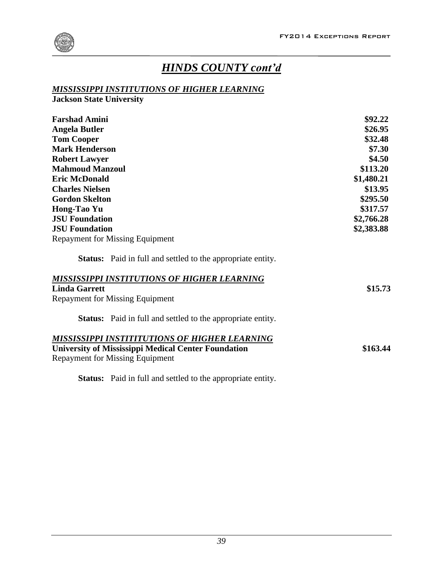

## *HINDS COUNTY cont'd*

## *MISSISSIPPI INSTITUTIONS OF HIGHER LEARNING*

**Jackson State University**

| <b>Farshad Amini</b>                                                                                 | \$92.22    |
|------------------------------------------------------------------------------------------------------|------------|
| <b>Angela Butler</b>                                                                                 | \$26.95    |
| <b>Tom Cooper</b>                                                                                    | \$32.48    |
| <b>Mark Henderson</b>                                                                                | \$7.30     |
| <b>Robert Lawyer</b>                                                                                 | \$4.50     |
| <b>Mahmoud Manzoul</b>                                                                               | \$113.20   |
| <b>Eric McDonald</b>                                                                                 | \$1,480.21 |
| <b>Charles Nielsen</b>                                                                               | \$13.95    |
| <b>Gordon Skelton</b>                                                                                | \$295.50   |
| Hong-Tao Yu                                                                                          | \$317.57   |
| <b>JSU Foundation</b>                                                                                | \$2,766.28 |
| <b>JSU Foundation</b>                                                                                | \$2,383.88 |
| <b>Repayment for Missing Equipment</b>                                                               |            |
| <b>Status:</b> Paid in full and settled to the appropriate entity.                                   |            |
| MISSISSIPPI INSTITUTIONS OF HIGHER LEARNING                                                          |            |
| <b>Linda Garrett</b>                                                                                 | \$15.73    |
| <b>Repayment for Missing Equipment</b>                                                               |            |
| Status: Paid in full and settled to the appropriate entity.                                          |            |
| MISSISSIPPI INSTITITUTIONS OF HIGHER LEARNING                                                        |            |
| <b>University of Mississippi Medical Center Foundation</b><br><b>Repayment for Missing Equipment</b> | \$163.44   |

**Status:** Paid in full and settled to the appropriate entity.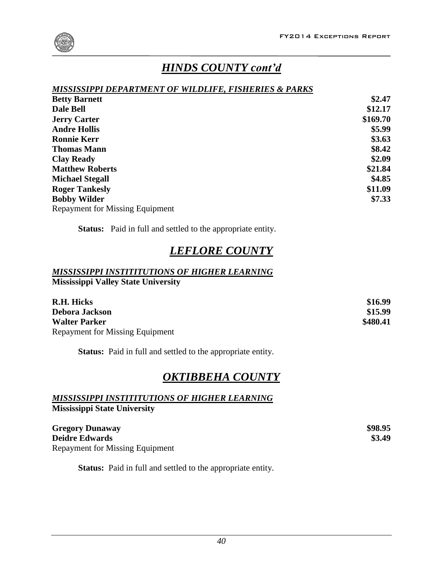

## *HINDS COUNTY cont'd*

### *MISSISSIPPI DEPARTMENT OF WILDLIFE, FISHERIES & PARKS*

| <b>Betty Barnett</b>                   | \$2.47   |
|----------------------------------------|----------|
| <b>Dale Bell</b>                       | \$12.17  |
| <b>Jerry Carter</b>                    | \$169.70 |
| <b>Andre Hollis</b>                    | \$5.99   |
| <b>Ronnie Kerr</b>                     | \$3.63   |
| <b>Thomas Mann</b>                     | \$8.42   |
| <b>Clay Ready</b>                      | \$2.09   |
| <b>Matthew Roberts</b>                 | \$21.84  |
| <b>Michael Stegall</b>                 | \$4.85   |
| <b>Roger Tankesly</b>                  | \$11.09  |
| <b>Bobby Wilder</b>                    | \$7.33   |
| <b>Repayment for Missing Equipment</b> |          |

**Status:** Paid in full and settled to the appropriate entity.

## *LEFLORE COUNTY*

## *MISSISSIPPI INSTITITUTIONS OF HIGHER LEARNING*

**Mississippi Valley State University**

| <b>R.H. Hicks</b>                      | \$16.99  |
|----------------------------------------|----------|
| Debora Jackson                         | \$15.99  |
| <b>Walter Parker</b>                   | \$480.41 |
| <b>Repayment for Missing Equipment</b> |          |

**Status:** Paid in full and settled to the appropriate entity.

## *OKTIBBEHA COUNTY*

### *MISSISSIPPI INSTITITUTIONS OF HIGHER LEARNING* **Mississippi State University**

**Gregory Dunaway \$98.95 Deidre Edwards \$3.49** Repayment for Missing Equipment

**Status:** Paid in full and settled to the appropriate entity.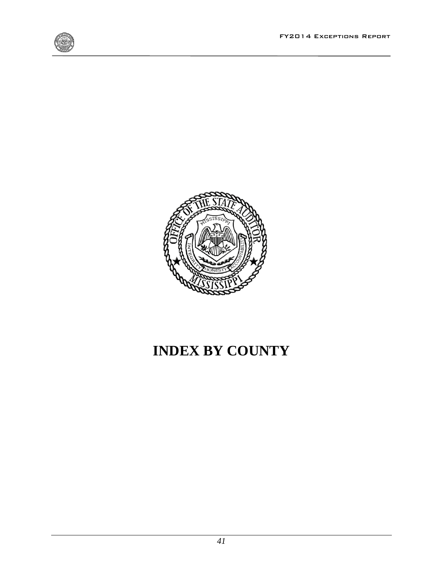





## **INDEX BY COUNTY**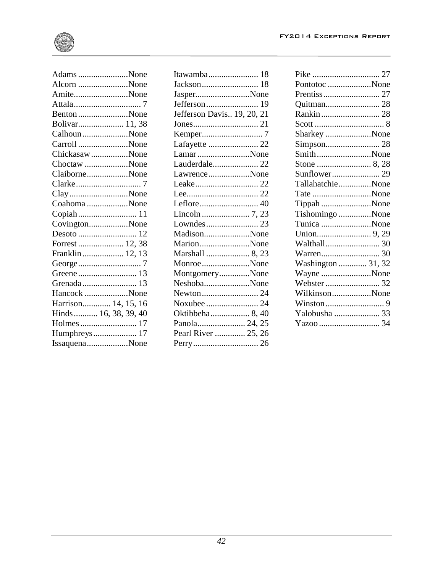

| Adams None           |
|----------------------|
| Alcorn None          |
| AmiteNone            |
|                      |
| Benton None          |
| Bolivar 11, 38       |
| CalhounNone          |
| Carroll None         |
| Chickasaw None       |
| Choctaw None         |
| ClaiborneNone        |
|                      |
| ClayNone             |
| Coahoma None         |
|                      |
| CovingtonNone        |
|                      |
| Forrest  12, 38      |
| Franklin  12, 13     |
|                      |
|                      |
|                      |
| Hancock None         |
| Harrison 14, 15, 16  |
| Hinds 16, 38, 39, 40 |
|                      |
|                      |
| IssaquenaNone        |
|                      |

| JasperNone                 |  |
|----------------------------|--|
|                            |  |
| Jefferson Davis 19, 20, 21 |  |
|                            |  |
|                            |  |
|                            |  |
| Lamar None                 |  |
| Lauderdale 22              |  |
| LawrenceNone               |  |
|                            |  |
|                            |  |
|                            |  |
|                            |  |
|                            |  |
| MadisonNone                |  |
| MarionNone                 |  |
| Marshall  8, 23            |  |
| MonroeNone                 |  |
|                            |  |
| MontgomeryNone             |  |
| NeshobaNone                |  |
|                            |  |
|                            |  |
| Oktibbeha 8,40             |  |
| Panola 24, 25              |  |
| Pearl River  25, 26        |  |
|                            |  |

| Pike  27           |  |
|--------------------|--|
| Pontotoc None      |  |
|                    |  |
|                    |  |
| Rankin  28         |  |
|                    |  |
| Sharkey None       |  |
|                    |  |
| SmithNone          |  |
|                    |  |
|                    |  |
| TallahatchieNone   |  |
| Tate None          |  |
| Tippah None        |  |
| Tishomingo None    |  |
| Tunica None        |  |
|                    |  |
|                    |  |
|                    |  |
| Washington  31, 32 |  |
| Wayne None         |  |
|                    |  |
| WilkinsonNone      |  |
|                    |  |
| Yalobusha  33      |  |
|                    |  |
|                    |  |